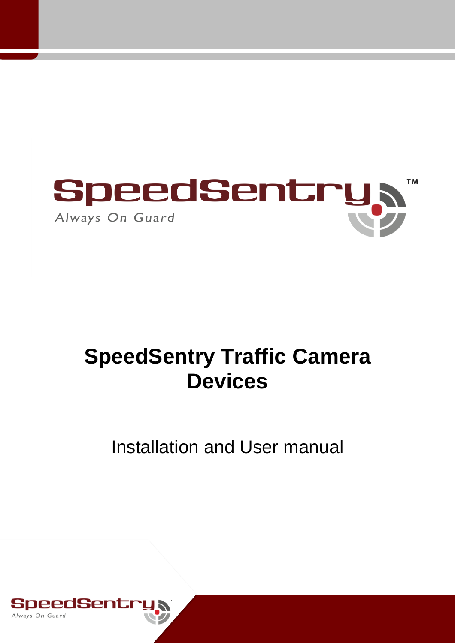

# **SpeedSentry Traffic Camera Devices**

# Installation and User manual

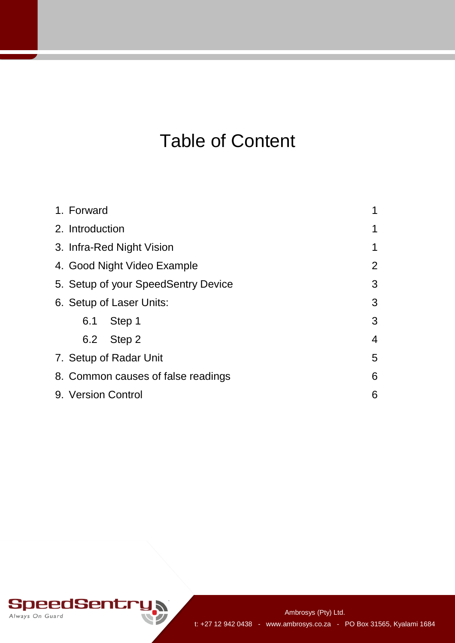# Table of Content

| 1. Forward                                    |                                     | 1              |
|-----------------------------------------------|-------------------------------------|----------------|
| 2. Introduction                               |                                     |                |
| 3. Infra-Red Night Vision<br>1                |                                     |                |
| $\overline{2}$<br>4. Good Night Video Example |                                     |                |
|                                               | 5. Setup of your SpeedSentry Device | 3              |
|                                               | 6. Setup of Laser Units:            | 3              |
| 6.1                                           | Step 1                              | 3              |
|                                               | 6.2 Step 2                          | $\overline{4}$ |
| 5<br>7. Setup of Radar Unit                   |                                     |                |
| 8. Common causes of false readings<br>6       |                                     |                |
| 9. Version Control<br>6                       |                                     |                |

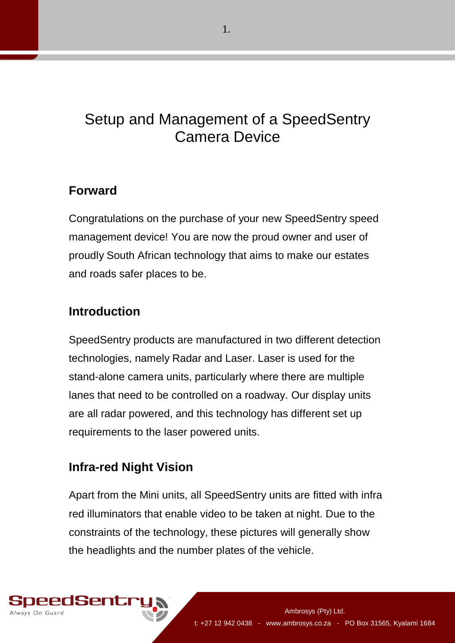# Setup and Management of a SpeedSentry Camera Device

## **Forward**

Congratulations on the purchase of your new SpeedSentry speed management device! You are now the proud owner and user of proudly South African technology that aims to make our estates and roads safer places to be.

# **Introduction**

SpeedSentry products are manufactured in two different detection technologies, namely Radar and Laser. Laser is used for the stand-alone camera units, particularly where there are multiple lanes that need to be controlled on a roadway. Our display units are all radar powered, and this technology has different set up requirements to the laser powered units.

# **Infra-red Night Vision**

Apart from the Mini units, all SpeedSentry units are fitted with infra red illuminators that enable video to be taken at night. Due to the constraints of the technology, these pictures will generally show the headlights and the number plates of the vehicle.

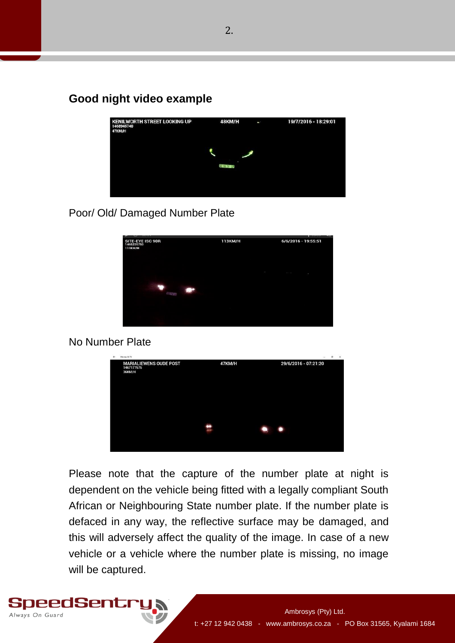### **Good night video example**



#### Poor/ Old/ Damaged Number Plate



#### No Number Plate



Please note that the capture of the number plate at night is dependent on the vehicle being fitted with a legally compliant South African or Neighbouring State number plate. If the number plate is defaced in any way, the reflective surface may be damaged, and this will adversely affect the quality of the image. In case of a new vehicle or a vehicle where the number plate is missing, no image will be captured.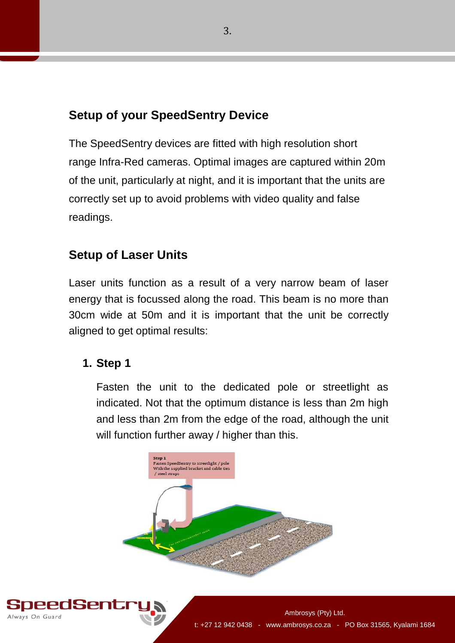# **Setup of your SpeedSentry Device**

The SpeedSentry devices are fitted with high resolution short range Infra-Red cameras. Optimal images are captured within 20m of the unit, particularly at night, and it is important that the units are correctly set up to avoid problems with video quality and false readings.

## **Setup of Laser Units**

Laser units function as a result of a very narrow beam of laser energy that is focussed along the road. This beam is no more than 30cm wide at 50m and it is important that the unit be correctly aligned to get optimal results:

### **1. Step 1**

Fasten the unit to the dedicated pole or streetlight as indicated. Not that the optimum distance is less than 2m high and less than 2m from the edge of the road, although the unit will function further away / higher than this.



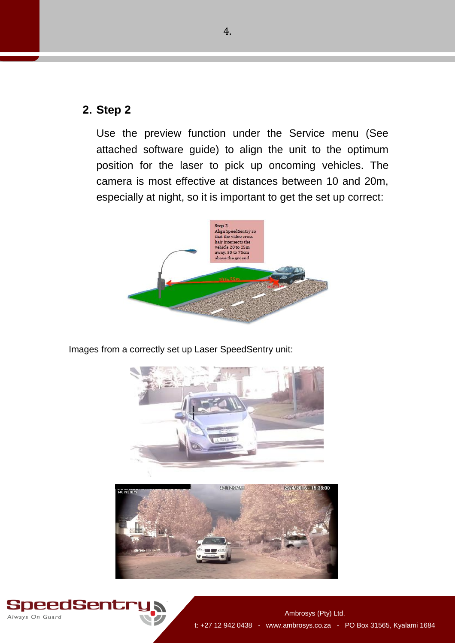### **2. Step 2**

Use the preview function under the Service menu (See attached software guide) to align the unit to the optimum position for the laser to pick up oncoming vehicles. The camera is most effective at distances between 10 and 20m, especially at night, so it is important to get the set up correct:



Images from a correctly set up Laser SpeedSentry unit:





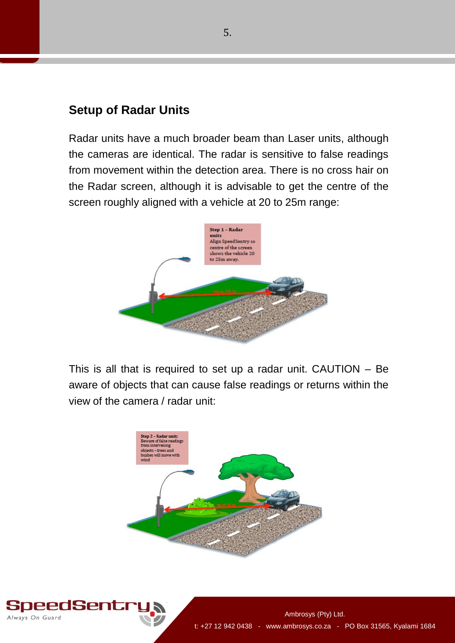## **Setup of Radar Units**

Radar units have a much broader beam than Laser units, although the cameras are identical. The radar is sensitive to false readings from movement within the detection area. There is no cross hair on the Radar screen, although it is advisable to get the centre of the screen roughly aligned with a vehicle at 20 to 25m range:



This is all that is required to set up a radar unit. CAUTION – Be aware of objects that can cause false readings or returns within the view of the camera / radar unit: